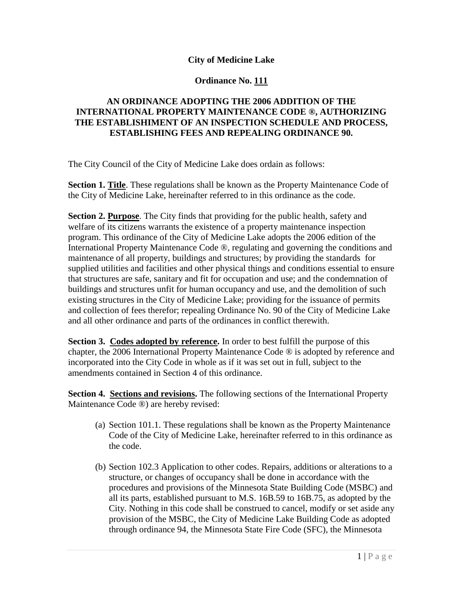## **City of Medicine Lake**

## **Ordinance No. 111**

## **AN ORDINANCE ADOPTING THE 2006 ADDITION OF THE INTERNATIONAL PROPERTY MAINTENANCE CODE ®, AUTHORIZING THE ESTABLISHIMENT OF AN INSPECTION SCHEDULE AND PROCESS, ESTABLISHING FEES AND REPEALING ORDINANCE 90.**

The City Council of the City of Medicine Lake does ordain as follows:

**Section 1. Title**. These regulations shall be known as the Property Maintenance Code of the City of Medicine Lake, hereinafter referred to in this ordinance as the code.

**Section 2. Purpose**. The City finds that providing for the public health, safety and welfare of its citizens warrants the existence of a property maintenance inspection program. This ordinance of the City of Medicine Lake adopts the 2006 edition of the International Property Maintenance Code ®, regulating and governing the conditions and maintenance of all property, buildings and structures; by providing the standards for supplied utilities and facilities and other physical things and conditions essential to ensure that structures are safe, sanitary and fit for occupation and use; and the condemnation of buildings and structures unfit for human occupancy and use, and the demolition of such existing structures in the City of Medicine Lake; providing for the issuance of permits and collection of fees therefor; repealing Ordinance No. 90 of the City of Medicine Lake and all other ordinance and parts of the ordinances in conflict therewith.

**Section 3. Codes adopted by reference.** In order to best fulfill the purpose of this chapter, the 2006 International Property Maintenance Code ® is adopted by reference and incorporated into the City Code in whole as if it was set out in full, subject to the amendments contained in Section 4 of this ordinance.

**Section 4. Sections and revisions.** The following sections of the International Property Maintenance Code ®) are hereby revised:

- (a) Section 101.1. These regulations shall be known as the Property Maintenance Code of the City of Medicine Lake, hereinafter referred to in this ordinance as the code.
- (b) Section 102.3 Application to other codes. Repairs, additions or alterations to a structure, or changes of occupancy shall be done in accordance with the procedures and provisions of the Minnesota State Building Code (MSBC) and all its parts, established pursuant to M.S. 16B.59 to 16B.75, as adopted by the City. Nothing in this code shall be construed to cancel, modify or set aside any provision of the MSBC, the City of Medicine Lake Building Code as adopted through ordinance 94, the Minnesota State Fire Code (SFC), the Minnesota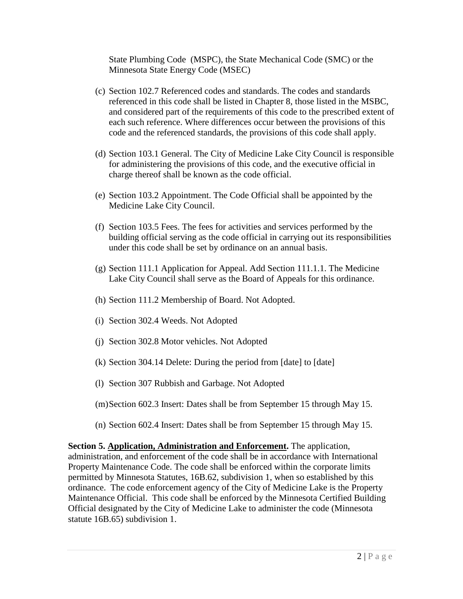State Plumbing Code (MSPC), the State Mechanical Code (SMC) or the Minnesota State Energy Code (MSEC)

- (c) Section 102.7 Referenced codes and standards. The codes and standards referenced in this code shall be listed in Chapter 8, those listed in the MSBC, and considered part of the requirements of this code to the prescribed extent of each such reference. Where differences occur between the provisions of this code and the referenced standards, the provisions of this code shall apply.
- (d) Section 103.1 General. The City of Medicine Lake City Council is responsible for administering the provisions of this code, and the executive official in charge thereof shall be known as the code official.
- (e) Section 103.2 Appointment. The Code Official shall be appointed by the Medicine Lake City Council.
- (f) Section 103.5 Fees. The fees for activities and services performed by the building official serving as the code official in carrying out its responsibilities under this code shall be set by ordinance on an annual basis.
- (g) Section 111.1 Application for Appeal. Add Section 111.1.1. The Medicine Lake City Council shall serve as the Board of Appeals for this ordinance.
- (h) Section 111.2 Membership of Board. Not Adopted.
- (i) Section 302.4 Weeds. Not Adopted
- (j) Section 302.8 Motor vehicles. Not Adopted
- (k) Section 304.14 Delete: During the period from [date] to [date]
- (l) Section 307 Rubbish and Garbage. Not Adopted
- (m)Section 602.3 Insert: Dates shall be from September 15 through May 15.
- (n) Section 602.4 Insert: Dates shall be from September 15 through May 15.

**Section 5. Application, Administration and Enforcement.** The application, administration, and enforcement of the code shall be in accordance with International Property Maintenance Code. The code shall be enforced within the corporate limits permitted by Minnesota Statutes, 16B.62, subdivision 1, when so established by this ordinance. The code enforcement agency of the City of Medicine Lake is the Property Maintenance Official. This code shall be enforced by the Minnesota Certified Building Official designated by the City of Medicine Lake to administer the code (Minnesota statute 16B.65) subdivision 1.